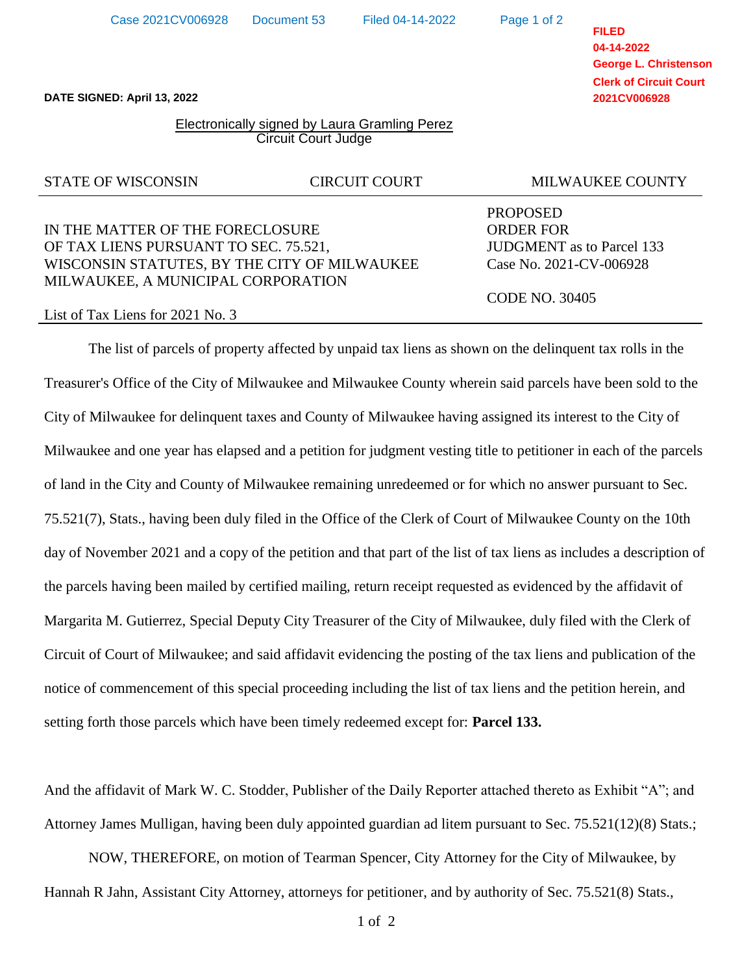Hannah R Jahn, Assistant City Attorney, attorneys for petitioner, and by authority of Sec. 75.521(8) Stats.,

**FILED 04-14-2022 George L. Christenson Clerk of Circuit Court 2021CV006928**

**DATE SIGNED: April 13, 2022**

## Electronically signed by Laura Gramling Perez Circuit Court Judge

# IN THE MATTER OF THE FORECLOSURE ORDER FOR OF TAX LIENS PURSUANT TO SEC. 75.521, JUDGMENT as to Parcel 133 WISCONSIN STATUTES, BY THE CITY OF MILWAUKEE Case No. 2021-CV-006928 MILWAUKEE, A MUNICIPAL CORPORATION

### List of Tax Liens for 2021 No. 3

The list of parcels of property affected by unpaid tax liens as shown on the delinquent tax rolls in the Treasurer's Office of the City of Milwaukee and Milwaukee County wherein said parcels have been sold to the City of Milwaukee for delinquent taxes and County of Milwaukee having assigned its interest to the City of Milwaukee and one year has elapsed and a petition for judgment vesting title to petitioner in each of the parcels of land in the City and County of Milwaukee remaining unredeemed or for which no answer pursuant to Sec. 75.521(7), Stats., having been duly filed in the Office of the Clerk of Court of Milwaukee County on the 10th day of November 2021 and a copy of the petition and that part of the list of tax liens as includes a description of the parcels having been mailed by certified mailing, return receipt requested as evidenced by the affidavit of Margarita M. Gutierrez, Special Deputy City Treasurer of the City of Milwaukee, duly filed with the Clerk of Circuit of Court of Milwaukee; and said affidavit evidencing the posting of the tax liens and publication of the notice of commencement of this special proceeding including the list of tax liens and the petition herein, and setting forth those parcels which have been timely redeemed except for: **Parcel 133.**

And the affidavit of Mark W. C. Stodder, Publisher of the Daily Reporter attached thereto as Exhibit "A"; and Attorney James Mulligan, having been duly appointed guardian ad litem pursuant to Sec. 75.521(12)(8) Stats.;

NOW, THEREFORE, on motion of Tearman Spencer, City Attorney for the City of Milwaukee, by

# STATE OF WISCONSIN CIRCUIT COURT MILWAUKEE COUNTY

PROPOSED

CODE NO. 30405

Page 1 of 2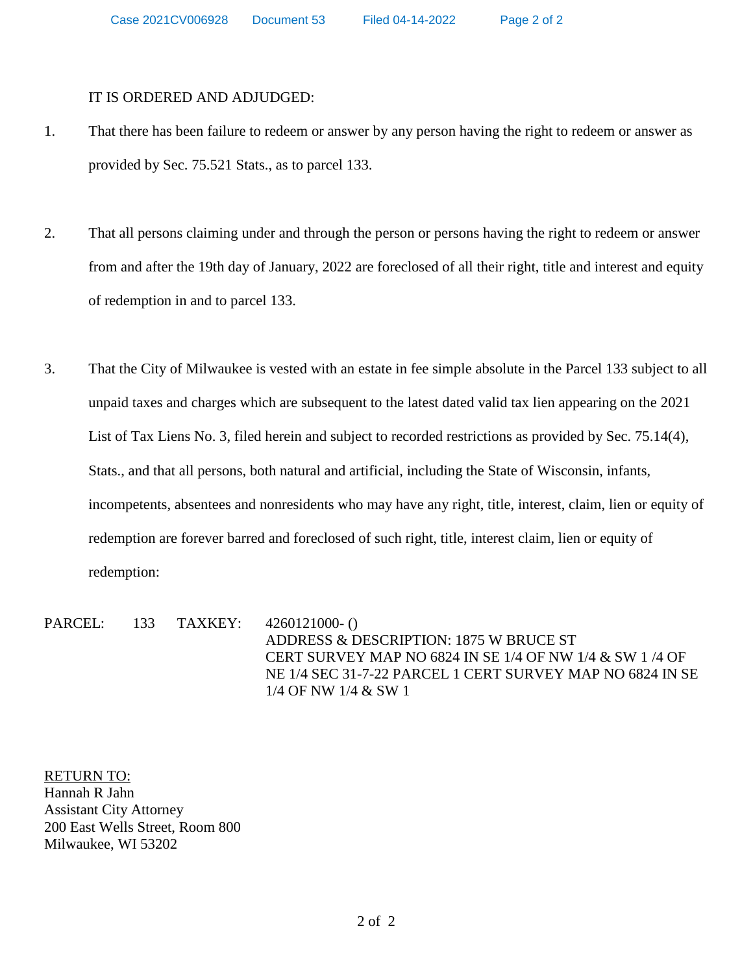## IT IS ORDERED AND ADJUDGED:

- 1. That there has been failure to redeem or answer by any person having the right to redeem or answer as provided by Sec. 75.521 Stats., as to parcel 133.
- 2. That all persons claiming under and through the person or persons having the right to redeem or answer from and after the 19th day of January, 2022 are foreclosed of all their right, title and interest and equity of redemption in and to parcel 133.
- 3. That the City of Milwaukee is vested with an estate in fee simple absolute in the Parcel 133 subject to all unpaid taxes and charges which are subsequent to the latest dated valid tax lien appearing on the 2021 List of Tax Liens No. 3, filed herein and subject to recorded restrictions as provided by Sec. 75.14(4), Stats., and that all persons, both natural and artificial, including the State of Wisconsin, infants, incompetents, absentees and nonresidents who may have any right, title, interest, claim, lien or equity of redemption are forever barred and foreclosed of such right, title, interest claim, lien or equity of redemption:

PARCEL: 133 TAXKEY: 4260121000-() ADDRESS & DESCRIPTION: 1875 W BRUCE ST CERT SURVEY MAP NO 6824 IN SE 1/4 OF NW 1/4 & SW 1 /4 OF NE 1/4 SEC 31-7-22 PARCEL 1 CERT SURVEY MAP NO 6824 IN SE 1/4 OF NW 1/4 & SW 1

RETURN TO: Hannah R Jahn Assistant City Attorney 200 East Wells Street, Room 800 Milwaukee, WI 53202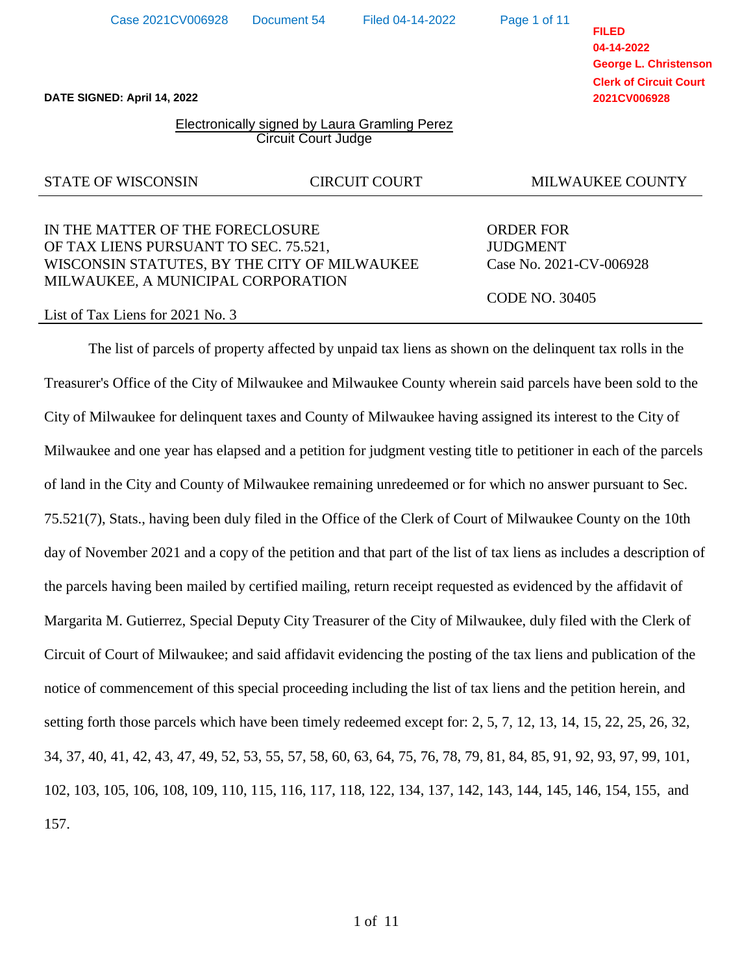**DATE SIGNED: April 14, 2022**

## Electronically signed by Laura Gramling Perez Circuit Court Judge

## STATE OF WISCONSIN CIRCUIT COURT MILWAUKEE COUNTY

# IN THE MATTER OF THE FORECLOSURE ORDER FOR OF TAX LIENS PURSUANT TO SEC. 75.521, JUDGMENT WISCONSIN STATUTES, BY THE CITY OF MILWAUKEE Case No. 2021-CV-006928 MILWAUKEE, A MUNICIPAL CORPORATION

#### List of Tax Liens for 2021 No. 3

The list of parcels of property affected by unpaid tax liens as shown on the delinquent tax rolls in the Treasurer's Office of the City of Milwaukee and Milwaukee County wherein said parcels have been sold to the City of Milwaukee for delinquent taxes and County of Milwaukee having assigned its interest to the City of Milwaukee and one year has elapsed and a petition for judgment vesting title to petitioner in each of the parcels of land in the City and County of Milwaukee remaining unredeemed or for which no answer pursuant to Sec. 75.521(7), Stats., having been duly filed in the Office of the Clerk of Court of Milwaukee County on the 10th day of November 2021 and a copy of the petition and that part of the list of tax liens as includes a description of the parcels having been mailed by certified mailing, return receipt requested as evidenced by the affidavit of Margarita M. Gutierrez, Special Deputy City Treasurer of the City of Milwaukee, duly filed with the Clerk of Circuit of Court of Milwaukee; and said affidavit evidencing the posting of the tax liens and publication of the notice of commencement of this special proceeding including the list of tax liens and the petition herein, and setting forth those parcels which have been timely redeemed except for: 2, 5, 7, 12, 13, 14, 15, 22, 25, 26, 32, 34, 37, 40, 41, 42, 43, 47, 49, 52, 53, 55, 57, 58, 60, 63, 64, 75, 76, 78, 79, 81, 84, 85, 91, 92, 93, 97, 99, 101, 102, 103, 105, 106, 108, 109, 110, 115, 116, 117, 118, 122, 134, 137, 142, 143, 144, 145, 146, 154, 155, and 157.

**FILED 04-14-2022 George L. Christenson Clerk of Circuit Court 2021CV006928**

CODE NO. 30405

Page 1 of 11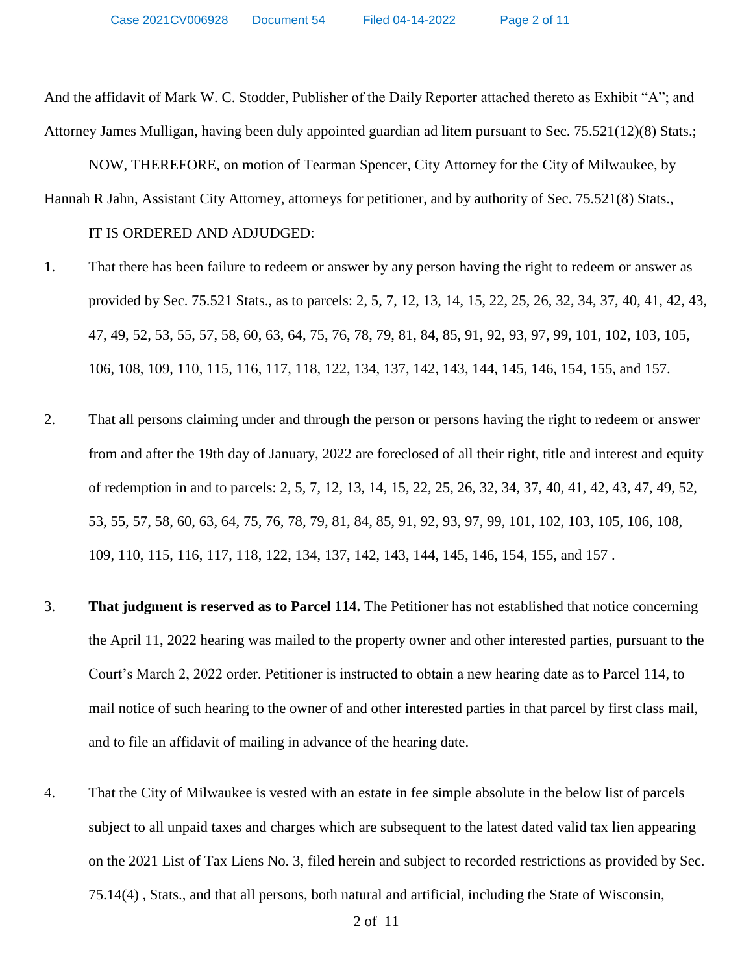And the affidavit of Mark W. C. Stodder, Publisher of the Daily Reporter attached thereto as Exhibit "A"; and Attorney James Mulligan, having been duly appointed guardian ad litem pursuant to Sec. 75.521(12)(8) Stats.;

NOW, THEREFORE, on motion of Tearman Spencer, City Attorney for the City of Milwaukee, by Hannah R Jahn, Assistant City Attorney, attorneys for petitioner, and by authority of Sec. 75.521(8) Stats.,

#### IT IS ORDERED AND ADJUDGED:

- 1. That there has been failure to redeem or answer by any person having the right to redeem or answer as provided by Sec. 75.521 Stats., as to parcels: 2, 5, 7, 12, 13, 14, 15, 22, 25, 26, 32, 34, 37, 40, 41, 42, 43, 47, 49, 52, 53, 55, 57, 58, 60, 63, 64, 75, 76, 78, 79, 81, 84, 85, 91, 92, 93, 97, 99, 101, 102, 103, 105, 106, 108, 109, 110, 115, 116, 117, 118, 122, 134, 137, 142, 143, 144, 145, 146, 154, 155, and 157.
- 2. That all persons claiming under and through the person or persons having the right to redeem or answer from and after the 19th day of January, 2022 are foreclosed of all their right, title and interest and equity of redemption in and to parcels: 2, 5, 7, 12, 13, 14, 15, 22, 25, 26, 32, 34, 37, 40, 41, 42, 43, 47, 49, 52, 53, 55, 57, 58, 60, 63, 64, 75, 76, 78, 79, 81, 84, 85, 91, 92, 93, 97, 99, 101, 102, 103, 105, 106, 108, 109, 110, 115, 116, 117, 118, 122, 134, 137, 142, 143, 144, 145, 146, 154, 155, and 157 .
- 3. **That judgment is reserved as to Parcel 114.** The Petitioner has not established that notice concerning the April 11, 2022 hearing was mailed to the property owner and other interested parties, pursuant to the Court's March 2, 2022 order. Petitioner is instructed to obtain a new hearing date as to Parcel 114, to mail notice of such hearing to the owner of and other interested parties in that parcel by first class mail, and to file an affidavit of mailing in advance of the hearing date.
- 4. That the City of Milwaukee is vested with an estate in fee simple absolute in the below list of parcels subject to all unpaid taxes and charges which are subsequent to the latest dated valid tax lien appearing on the 2021 List of Tax Liens No. 3, filed herein and subject to recorded restrictions as provided by Sec. 75.14(4) , Stats., and that all persons, both natural and artificial, including the State of Wisconsin,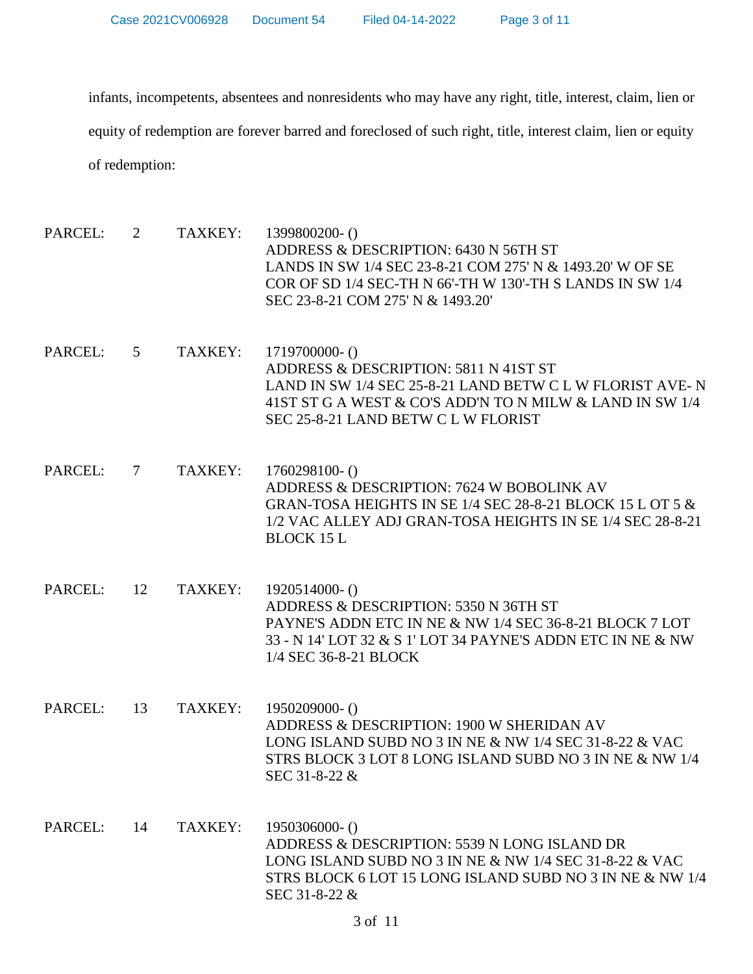infants, incompetents, absentees and nonresidents who may have any right, title, interest, claim, lien or equity of redemption are forever barred and foreclosed of such right, title, interest claim, lien or equity of redemption:

PARCEL: 2 TAXKEY: 1399800200- () ADDRESS & DESCRIPTION: 6430 N 56TH ST LANDS IN SW 1/4 SEC 23-8-21 COM 275' N & 1493.20' W OF SE COR OF SD 1/4 SEC-TH N 66'-TH W 130'-TH S LANDS IN SW 1/4 SEC 23-8-21 COM 275' N & 1493.20' PARCEL: 5 TAXKEY: 1719700000- () ADDRESS & DESCRIPTION: 5811 N 41ST ST LAND IN SW 1/4 SEC 25-8-21 LAND BETW C L W FLORIST AVE- N 41ST ST G A WEST & CO'S ADD'N TO N MILW & LAND IN SW 1/4 SEC 25-8-21 LAND BETW C L W FLORIST PARCEL: 7 TAXKEY: 1760298100- () ADDRESS & DESCRIPTION: 7624 W BOBOLINK AV GRAN-TOSA HEIGHTS IN SE 1/4 SEC 28-8-21 BLOCK 15 L OT 5 & 1/2 VAC ALLEY ADJ GRAN-TOSA HEIGHTS IN SE 1/4 SEC 28-8-21 BLOCK 15 L PARCEL: 12 TAXKEY: 1920514000- () ADDRESS & DESCRIPTION: 5350 N 36TH ST PAYNE'S ADDN ETC IN NE & NW 1/4 SEC 36-8-21 BLOCK 7 LOT 33 - N 14' LOT 32 & S 1' LOT 34 PAYNE'S ADDN ETC IN NE & NW 1/4 SEC 36-8-21 BLOCK PARCEL: 13 TAXKEY: 1950209000- () ADDRESS & DESCRIPTION: 1900 W SHERIDAN AV LONG ISLAND SUBD NO 3 IN NE & NW 1/4 SEC 31-8-22 & VAC STRS BLOCK 3 LOT 8 LONG ISLAND SUBD NO 3 IN NE & NW 1/4 SEC 31-8-22 & PARCEL: 14 TAXKEY: 1950306000- () ADDRESS & DESCRIPTION: 5539 N LONG ISLAND DR LONG ISLAND SUBD NO 3 IN NE & NW 1/4 SEC 31-8-22 & VAC STRS BLOCK 6 LOT 15 LONG ISLAND SUBD NO 3 IN NE & NW 1/4 SEC 31-8-22 &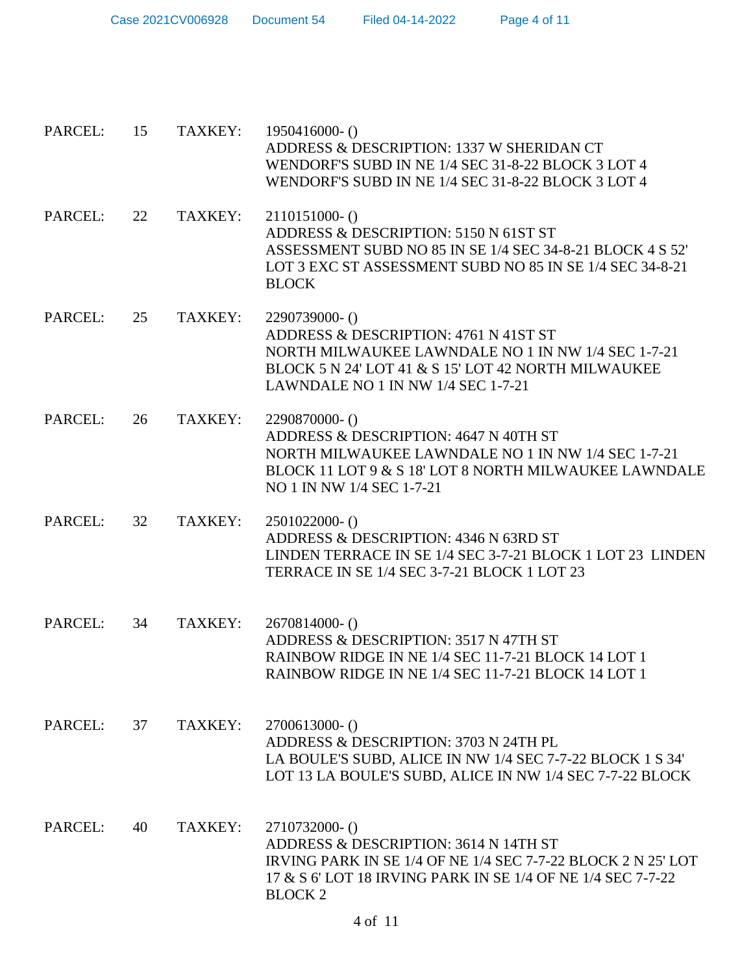| Case 2021CV006928 | Document 54 | Filed 04-14-2022 | Page 4 of 11 |
|-------------------|-------------|------------------|--------------|
|-------------------|-------------|------------------|--------------|

| PARCEL: | 15 | TAXKEY: | $1950416000 - ()$<br>ADDRESS & DESCRIPTION: 1337 W SHERIDAN CT<br>WENDORF'S SUBD IN NE 1/4 SEC 31-8-22 BLOCK 3 LOT 4<br>WENDORF'S SUBD IN NE 1/4 SEC 31-8-22 BLOCK 3 LOT 4                                |
|---------|----|---------|-----------------------------------------------------------------------------------------------------------------------------------------------------------------------------------------------------------|
| PARCEL: | 22 | TAXKEY: | $2110151000 - ()$<br>ADDRESS & DESCRIPTION: 5150 N 61ST ST<br>ASSESSMENT SUBD NO 85 IN SE 1/4 SEC 34-8-21 BLOCK 4 S 52'<br>LOT 3 EXC ST ASSESSMENT SUBD NO 85 IN SE 1/4 SEC 34-8-21<br><b>BLOCK</b>       |
| PARCEL: | 25 | TAXKEY: | 2290739000-()<br>ADDRESS & DESCRIPTION: 4761 N 41ST ST<br>NORTH MILWAUKEE LAWNDALE NO 1 IN NW 1/4 SEC 1-7-21<br>BLOCK 5 N 24' LOT 41 & S 15' LOT 42 NORTH MILWAUKEE<br>LAWNDALE NO 1 IN NW 1/4 SEC 1-7-21 |
| PARCEL: | 26 | TAXKEY: | 2290870000- ()<br>ADDRESS & DESCRIPTION: 4647 N 40TH ST<br>NORTH MILWAUKEE LAWNDALE NO 1 IN NW 1/4 SEC 1-7-21<br>BLOCK 11 LOT 9 & S 18' LOT 8 NORTH MILWAUKEE LAWNDALE<br>NO 1 IN NW 1/4 SEC 1-7-21       |
| PARCEL: | 32 | TAXKEY: | $2501022000-()$<br>ADDRESS & DESCRIPTION: 4346 N 63RD ST<br>LINDEN TERRACE IN SE 1/4 SEC 3-7-21 BLOCK 1 LOT 23 LINDEN<br>TERRACE IN SE 1/4 SEC 3-7-21 BLOCK 1 LOT 23                                      |
| PARCEL: | 34 | TAXKEY: | $2670814000 - ()$<br>ADDRESS & DESCRIPTION: 3517 N 47TH ST<br>RAINBOW RIDGE IN NE 1/4 SEC 11-7-21 BLOCK 14 LOT 1<br>RAINBOW RIDGE IN NE 1/4 SEC 11-7-21 BLOCK 14 LOT 1                                    |
| PARCEL: | 37 | TAXKEY: | $2700613000 - ()$<br>ADDRESS & DESCRIPTION: 3703 N 24TH PL<br>LA BOULE'S SUBD, ALICE IN NW 1/4 SEC 7-7-22 BLOCK 1 S 34'<br>LOT 13 LA BOULE'S SUBD, ALICE IN NW 1/4 SEC 7-7-22 BLOCK                       |
| PARCEL: | 40 | TAXKEY: | 2710732000-()<br>ADDRESS & DESCRIPTION: 3614 N 14TH ST<br>IRVING PARK IN SE 1/4 OF NE 1/4 SEC 7-7-22 BLOCK 2 N 25' LOT<br>17 & S 6' LOT 18 IRVING PARK IN SE 1/4 OF NE 1/4 SEC 7-7-22<br><b>BLOCK 2</b>   |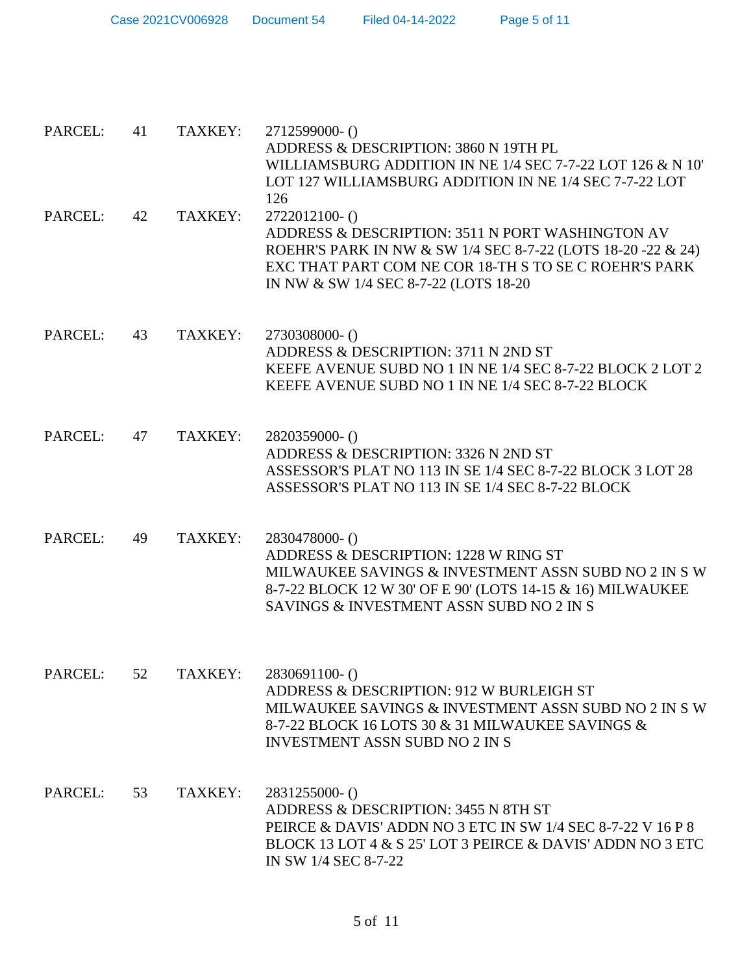| Case 2021CV006928 | Document 54 | Filed 04-14-2022 | Page 5 of 11 |
|-------------------|-------------|------------------|--------------|
|-------------------|-------------|------------------|--------------|

| PARCEL: | 41 | TAXKEY: | 2712599000- ()<br>ADDRESS & DESCRIPTION: 3860 N 19TH PL<br>WILLIAMSBURG ADDITION IN NE 1/4 SEC 7-7-22 LOT 126 & N 10'<br>LOT 127 WILLIAMSBURG ADDITION IN NE 1/4 SEC 7-7-22 LOT<br>126                                               |
|---------|----|---------|--------------------------------------------------------------------------------------------------------------------------------------------------------------------------------------------------------------------------------------|
| PARCEL: | 42 | TAXKEY: | 2722012100-()<br>ADDRESS & DESCRIPTION: 3511 N PORT WASHINGTON AV<br>ROEHR'S PARK IN NW & SW 1/4 SEC 8-7-22 (LOTS 18-20 -22 & 24)<br>EXC THAT PART COM NE COR 18-TH S TO SE C ROEHR'S PARK<br>IN NW & SW 1/4 SEC 8-7-22 (LOTS 18-20) |
| PARCEL: | 43 | TAXKEY: | 2730308000-()<br>ADDRESS & DESCRIPTION: 3711 N 2ND ST<br>KEEFE AVENUE SUBD NO 1 IN NE 1/4 SEC 8-7-22 BLOCK 2 LOT 2<br>KEEFE AVENUE SUBD NO 1 IN NE 1/4 SEC 8-7-22 BLOCK                                                              |
| PARCEL: | 47 | TAXKEY: | 2820359000-()<br>ADDRESS & DESCRIPTION: 3326 N 2ND ST<br>ASSESSOR'S PLAT NO 113 IN SE 1/4 SEC 8-7-22 BLOCK 3 LOT 28<br>ASSESSOR'S PLAT NO 113 IN SE 1/4 SEC 8-7-22 BLOCK                                                             |
| PARCEL: | 49 | TAXKEY: | 2830478000-()<br>ADDRESS & DESCRIPTION: 1228 W RING ST<br>MILWAUKEE SAVINGS & INVESTMENT ASSN SUBD NO 2 IN S W<br>8-7-22 BLOCK 12 W 30' OF E 90' (LOTS 14-15 & 16) MILWAUKEE<br>SAVINGS & INVESTMENT ASSN SUBD NO 2 IN S             |
| PARCEL: | 52 | TAXKEY: | 2830691100-()<br>ADDRESS & DESCRIPTION: 912 W BURLEIGH ST<br>MILWAUKEE SAVINGS & INVESTMENT ASSN SUBD NO 2 IN S W<br>8-7-22 BLOCK 16 LOTS 30 & 31 MILWAUKEE SAVINGS &<br><b>INVESTMENT ASSN SUBD NO 2 IN S</b>                       |
| PARCEL: | 53 | TAXKEY: | 2831255000-()<br>ADDRESS & DESCRIPTION: 3455 N 8TH ST<br>PEIRCE & DAVIS' ADDN NO 3 ETC IN SW 1/4 SEC 8-7-22 V 16 P 8<br>BLOCK 13 LOT 4 & S 25' LOT 3 PEIRCE & DAVIS' ADDN NO 3 ETC<br>IN SW 1/4 SEC 8-7-22                           |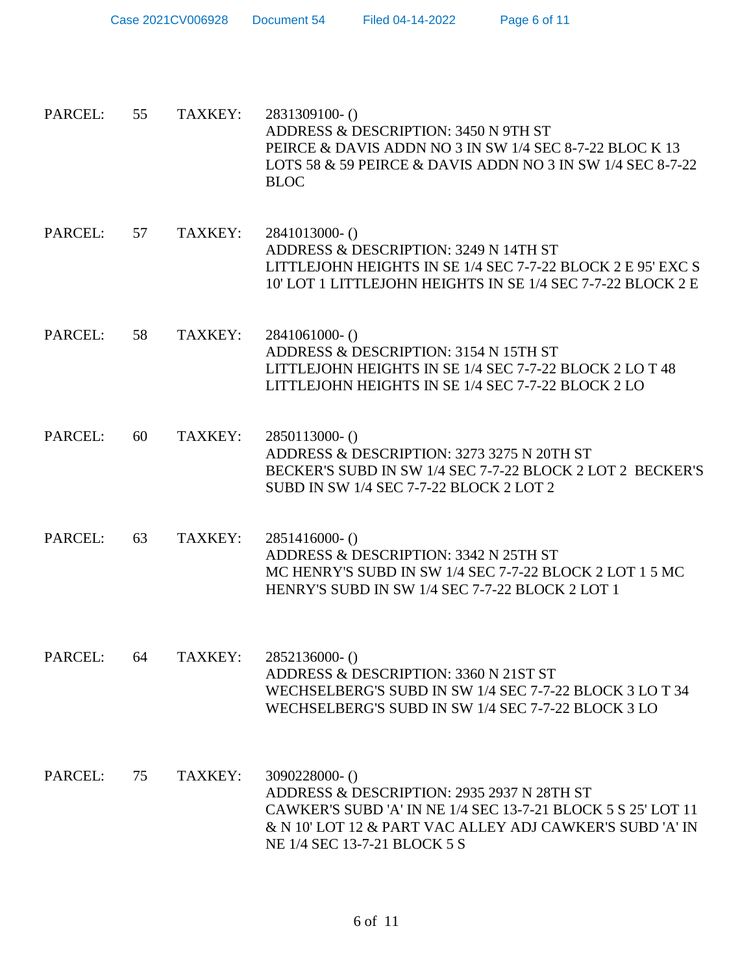| Case 2021CV006928 | Document 54 | Filed 04-14-2022 | Page 6 of 11 |
|-------------------|-------------|------------------|--------------|
|-------------------|-------------|------------------|--------------|

| PARCEL: | 55 | TAXKEY: 2831309100-()                                      |
|---------|----|------------------------------------------------------------|
|         |    | ADDRESS & DESCRIPTION: 3450 N 9TH ST                       |
|         |    | PEIRCE & DAVIS ADDN NO 3 IN SW 1/4 SEC 8-7-22 BLOC K 13    |
|         |    | LOTS 58 & 59 PEIRCE & DAVIS ADDN NO 3 IN SW 1/4 SEC 8-7-22 |
|         |    | RLOC.                                                      |

- PARCEL: 57 TAXKEY: 2841013000- () ADDRESS & DESCRIPTION: 3249 N 14TH ST LITTLEJOHN HEIGHTS IN SE 1/4 SEC 7-7-22 BLOCK 2 E 95' EXC S 10' LOT 1 LITTLEJOHN HEIGHTS IN SE 1/4 SEC 7-7-22 BLOCK 2 E
- PARCEL: 58 TAXKEY: 2841061000- () ADDRESS & DESCRIPTION: 3154 N 15TH ST LITTLEJOHN HEIGHTS IN SE 1/4 SEC 7-7-22 BLOCK 2 LO T 48 LITTLEJOHN HEIGHTS IN SE 1/4 SEC 7-7-22 BLOCK 2 LO
- PARCEL: 60 TAXKEY: 2850113000- () ADDRESS & DESCRIPTION: 3273 3275 N 20TH ST BECKER'S SUBD IN SW 1/4 SEC 7-7-22 BLOCK 2 LOT 2 BECKER'S SUBD IN SW 1/4 SEC 7-7-22 BLOCK 2 LOT 2
- PARCEL: 63 TAXKEY: 2851416000- () ADDRESS & DESCRIPTION: 3342 N 25TH ST MC HENRY'S SUBD IN SW 1/4 SEC 7-7-22 BLOCK 2 LOT 1 5 MC HENRY'S SUBD IN SW 1/4 SEC 7-7-22 BLOCK 2 LOT 1
- PARCEL: 64 TAXKEY: 2852136000- () ADDRESS & DESCRIPTION: 3360 N 21ST ST WECHSELBERG'S SUBD IN SW 1/4 SEC 7-7-22 BLOCK 3 LO T 34 WECHSELBERG'S SUBD IN SW 1/4 SEC 7-7-22 BLOCK 3 LO
- PARCEL: 75 TAXKEY: 3090228000- () ADDRESS & DESCRIPTION: 2935 2937 N 28TH ST CAWKER'S SUBD 'A' IN NE 1/4 SEC 13-7-21 BLOCK 5 S 25' LOT 11 & N 10' LOT 12 & PART VAC ALLEY ADJ CAWKER'S SUBD 'A' IN NE 1/4 SEC 13-7-21 BLOCK 5 S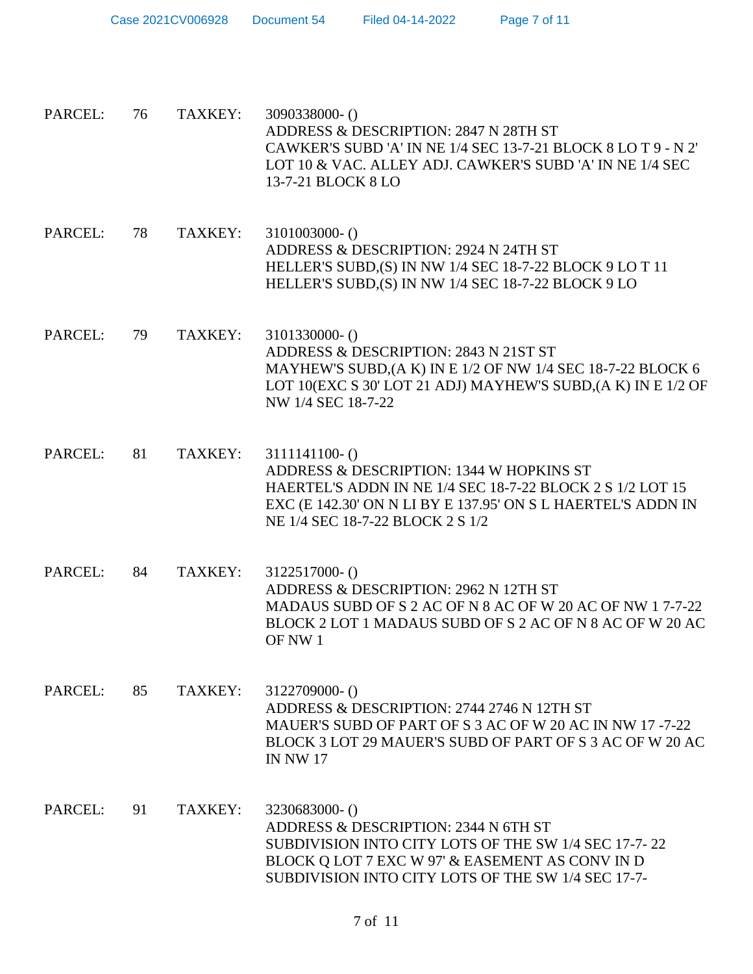| PARCEL: | 76 | TAXKEY: | 3090338000-()<br>ADDRESS & DESCRIPTION: 2847 N 28TH ST<br>CAWKER'S SUBD 'A' IN NE 1/4 SEC 13-7-21 BLOCK 8 LO T 9 - N 2'<br>LOT 10 & VAC. ALLEY ADJ. CAWKER'S SUBD 'A' IN NE 1/4 SEC<br>13-7-21 BLOCK 8 LO                      |
|---------|----|---------|--------------------------------------------------------------------------------------------------------------------------------------------------------------------------------------------------------------------------------|
| PARCEL: | 78 | TAXKEY: | 3101003000- ()<br>ADDRESS & DESCRIPTION: 2924 N 24TH ST<br>HELLER'S SUBD, (S) IN NW 1/4 SEC 18-7-22 BLOCK 9 LO T 11<br>HELLER'S SUBD, (S) IN NW 1/4 SEC 18-7-22 BLOCK 9 LO                                                     |
| PARCEL: | 79 | TAXKEY: | 3101330000- ()<br>ADDRESS & DESCRIPTION: 2843 N 21ST ST<br>MAYHEW'S SUBD, (A K) IN E 1/2 OF NW 1/4 SEC 18-7-22 BLOCK 6<br>LOT 10(EXC S 30' LOT 21 ADJ) MAYHEW'S SUBD, (A K) IN E 1/2 OF<br>NW 1/4 SEC 18-7-22                  |
| PARCEL: | 81 | TAXKEY: | $3111141100 - ()$<br>ADDRESS & DESCRIPTION: 1344 W HOPKINS ST<br>HAERTEL'S ADDN IN NE 1/4 SEC 18-7-22 BLOCK 2 S 1/2 LOT 15<br>EXC (E 142.30' ON N LI BY E 137.95' ON S L HAERTEL'S ADDN IN<br>NE 1/4 SEC 18-7-22 BLOCK 2 S 1/2 |
| PARCEL: | 84 | TAXKEY: | 3122517000-()<br>ADDRESS & DESCRIPTION: 2962 N 12TH ST<br>MADAUS SUBD OF S 2 AC OF N 8 AC OF W 20 AC OF NW 1 7-7-22<br>BLOCK 2 LOT 1 MADAUS SUBD OF S 2 AC OF N 8 AC OF W 20 AC<br>OF NW 1                                     |
| PARCEL: | 85 | TAXKEY: | 3122709000- ()<br>ADDRESS & DESCRIPTION: 2744 2746 N 12TH ST<br>MAUER'S SUBD OF PART OF S 3 AC OF W 20 AC IN NW 17-7-22<br>BLOCK 3 LOT 29 MAUER'S SUBD OF PART OF S 3 AC OF W 20 AC<br><b>IN NW 17</b>                         |
| PARCEL: | 91 | TAXKEY: | 3230683000-()<br>ADDRESS & DESCRIPTION: 2344 N 6TH ST<br>SUBDIVISION INTO CITY LOTS OF THE SW 1/4 SEC 17-7-22<br>BLOCK Q LOT 7 EXC W 97' & EASEMENT AS CONV IN D<br>SUBDIVISION INTO CITY LOTS OF THE SW 1/4 SEC 17-7-         |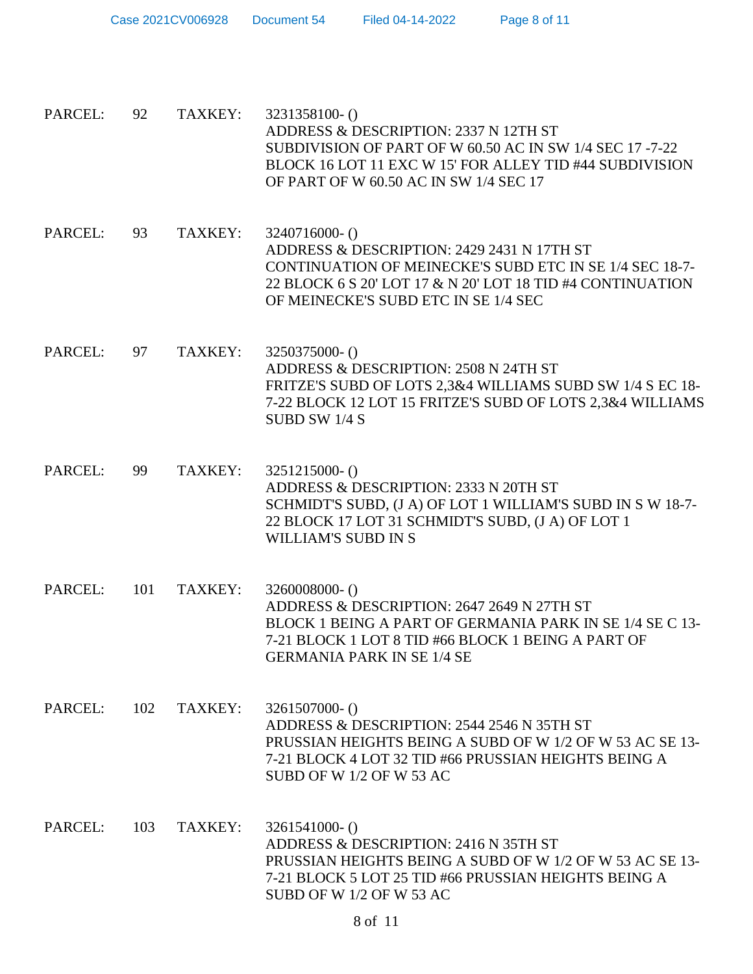| PARCEL: | 92  | TAXKEY: | 3231358100-()<br>ADDRESS & DESCRIPTION: 2337 N 12TH ST<br>SUBDIVISION OF PART OF W 60.50 AC IN SW 1/4 SEC 17-7-22<br>BLOCK 16 LOT 11 EXC W 15' FOR ALLEY TID #44 SUBDIVISION<br>OF PART OF W 60.50 AC IN SW 1/4 SEC 17       |
|---------|-----|---------|------------------------------------------------------------------------------------------------------------------------------------------------------------------------------------------------------------------------------|
| PARCEL: | 93  | TAXKEY: | 3240716000-()<br>ADDRESS & DESCRIPTION: 2429 2431 N 17TH ST<br>CONTINUATION OF MEINECKE'S SUBD ETC IN SE 1/4 SEC 18-7-<br>22 BLOCK 6 S 20' LOT 17 & N 20' LOT 18 TID #4 CONTINUATION<br>OF MEINECKE'S SUBD ETC IN SE 1/4 SEC |
| PARCEL: | 97  | TAXKEY: | 3250375000-()<br>ADDRESS & DESCRIPTION: 2508 N 24TH ST<br>FRITZE'S SUBD OF LOTS 2,3&4 WILLIAMS SUBD SW 1/4 S EC 18-<br>7-22 BLOCK 12 LOT 15 FRITZE'S SUBD OF LOTS 2,3&4 WILLIAMS<br>SUBD SW 1/4 S                            |
| PARCEL: | 99  | TAXKEY: | $3251215000 - ()$<br>ADDRESS & DESCRIPTION: 2333 N 20TH ST<br>SCHMIDT'S SUBD, (J A) OF LOT 1 WILLIAM'S SUBD IN S W 18-7-<br>22 BLOCK 17 LOT 31 SCHMIDT'S SUBD, (J A) OF LOT 1<br>WILLIAM'S SUBD IN S                         |
| PARCEL: | 101 | TAXKEY: | $3260008000 - ()$<br>ADDRESS & DESCRIPTION: 2647 2649 N 27TH ST<br>BLOCK 1 BEING A PART OF GERMANIA PARK IN SE 1/4 SE C 13-<br>7-21 BLOCK 1 LOT 8 TID #66 BLOCK 1 BEING A PART OF<br><b>GERMANIA PARK IN SE 1/4 SE</b>       |
| PARCEL: | 102 | TAXKEY: | $3261507000-()$<br>ADDRESS & DESCRIPTION: 2544 2546 N 35TH ST<br>PRUSSIAN HEIGHTS BEING A SUBD OF W 1/2 OF W 53 AC SE 13-<br>7-21 BLOCK 4 LOT 32 TID #66 PRUSSIAN HEIGHTS BEING A<br>SUBD OF W 1/2 OF W 53 AC                |
| PARCEL: | 103 | TAXKEY: | $3261541000-()$<br>ADDRESS & DESCRIPTION: 2416 N 35TH ST<br>PRUSSIAN HEIGHTS BEING A SUBD OF W 1/2 OF W 53 AC SE 13-<br>7-21 BLOCK 5 LOT 25 TID #66 PRUSSIAN HEIGHTS BEING A<br>SUBD OF W 1/2 OF W 53 AC                     |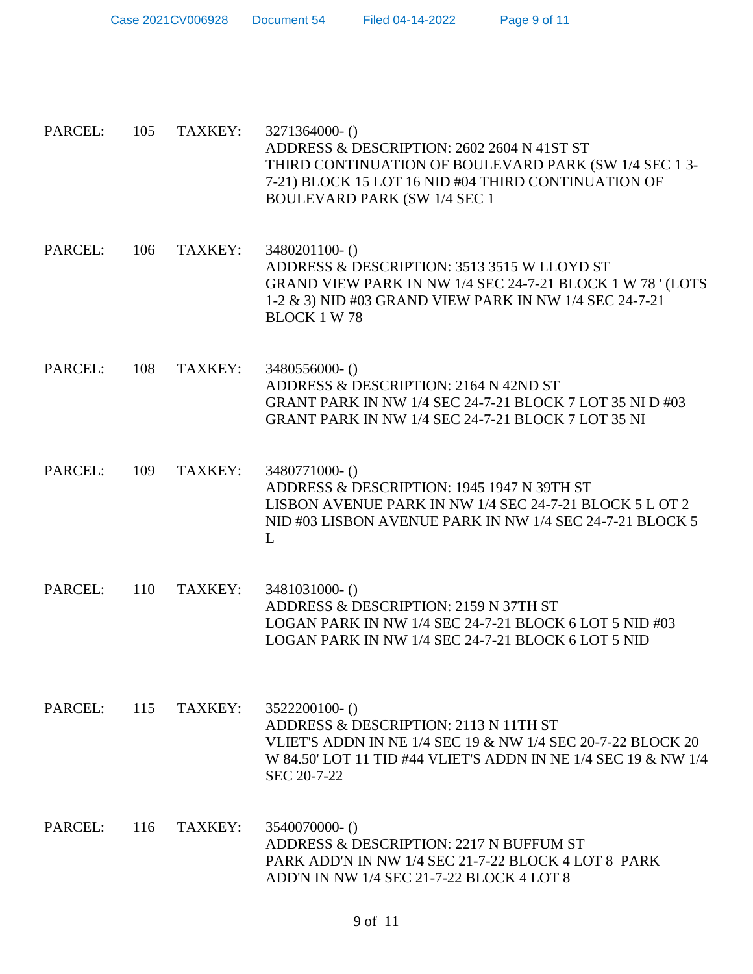Case 2021CV006928 Document 54 Filed 04-14-2022 Page 9 of 11

PARCEL: 105 TAXKEY: 3271364000- () ADDRESS & DESCRIPTION: 2602 2604 N 41ST ST THIRD CONTINUATION OF BOULEVARD PARK (SW 1/4 SEC 1 3- 7-21) BLOCK 15 LOT 16 NID #04 THIRD CONTINUATION OF BOULEVARD PARK (SW 1/4 SEC 1 PARCEL: 106 TAXKEY: 3480201100- () ADDRESS & DESCRIPTION: 3513 3515 W LLOYD ST GRAND VIEW PARK IN NW 1/4 SEC 24-7-21 BLOCK 1 W 78 ' (LOTS 1-2 & 3) NID #03 GRAND VIEW PARK IN NW 1/4 SEC 24-7-21 BLOCK 1 W 78 PARCEL: 108 TAXKEY: 3480556000- () ADDRESS & DESCRIPTION: 2164 N 42ND ST GRANT PARK IN NW 1/4 SEC 24-7-21 BLOCK 7 LOT 35 NI D #03 GRANT PARK IN NW 1/4 SEC 24-7-21 BLOCK 7 LOT 35 NI PARCEL: 109 TAXKEY: 3480771000- () ADDRESS & DESCRIPTION: 1945 1947 N 39TH ST LISBON AVENUE PARK IN NW 1/4 SEC 24-7-21 BLOCK 5 L OT 2 NID #03 LISBON AVENUE PARK IN NW 1/4 SEC 24-7-21 BLOCK 5  $\mathbf{L}$ PARCEL: 110 TAXKEY: 3481031000- () ADDRESS & DESCRIPTION: 2159 N 37TH ST LOGAN PARK IN NW 1/4 SEC 24-7-21 BLOCK 6 LOT 5 NID #03 LOGAN PARK IN NW 1/4 SEC 24-7-21 BLOCK 6 LOT 5 NID PARCEL: 115 TAXKEY: 3522200100-() ADDRESS & DESCRIPTION: 2113 N 11TH ST VLIET'S ADDN IN NE 1/4 SEC 19 & NW 1/4 SEC 20-7-22 BLOCK 20 W 84.50' LOT 11 TID #44 VLIET'S ADDN IN NE 1/4 SEC 19 & NW 1/4 SEC 20-7-22 PARCEL: 116 TAXKEY: 3540070000- () ADDRESS & DESCRIPTION: 2217 N BUFFUM ST PARK ADD'N IN NW 1/4 SEC 21-7-22 BLOCK 4 LOT 8 PARK ADD'N IN NW 1/4 SEC 21-7-22 BLOCK 4 LOT 8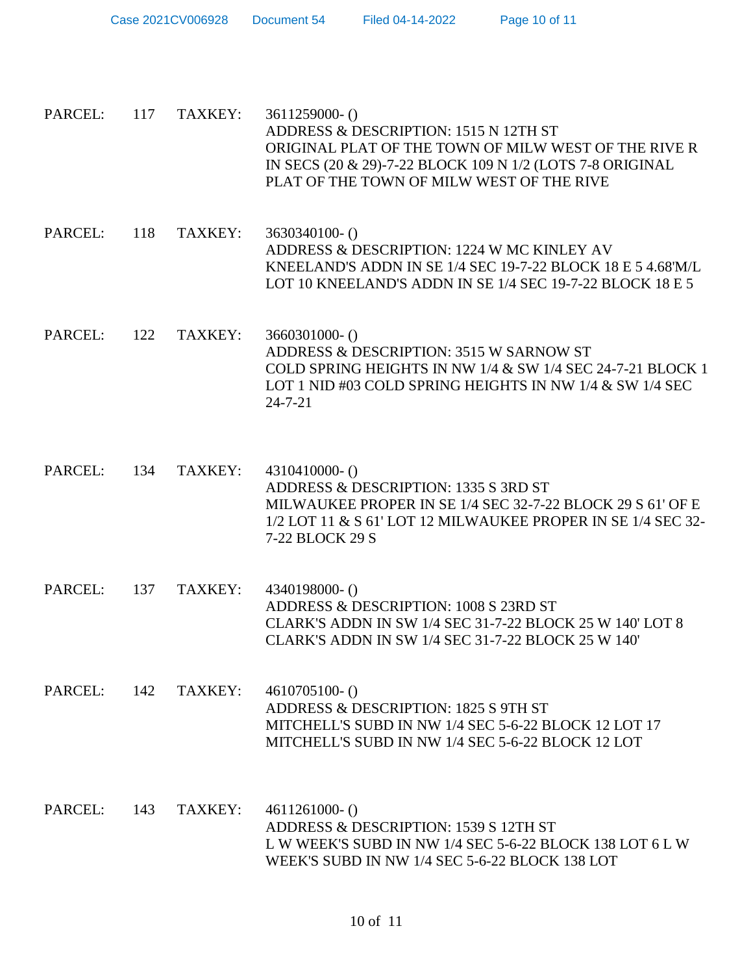| PARCEL:     | 117 | TAXKEY: | $3611259000 - ()$<br>ADDRESS & DESCRIPTION: 1515 N 12TH ST<br>ORIGINAL PLAT OF THE TOWN OF MILW WEST OF THE RIVE R<br>IN SECS (20 & 29)-7-22 BLOCK 109 N 1/2 (LOTS 7-8 ORIGINAL<br>PLAT OF THE TOWN OF MILW WEST OF THE RIVE |
|-------------|-----|---------|------------------------------------------------------------------------------------------------------------------------------------------------------------------------------------------------------------------------------|
| PARCEL:     | 118 | TAXKEY: | 3630340100-()<br>ADDRESS & DESCRIPTION: 1224 W MC KINLEY AV<br>KNEELAND'S ADDN IN SE 1/4 SEC 19-7-22 BLOCK 18 E 5 4.68'M/L<br>LOT 10 KNEELAND'S ADDN IN SE 1/4 SEC 19-7-22 BLOCK 18 E 5                                      |
| PARCEL:     | 122 | TAXKEY: | $3660301000 - ()$<br>ADDRESS & DESCRIPTION: 3515 W SARNOW ST<br>COLD SPRING HEIGHTS IN NW 1/4 & SW 1/4 SEC 24-7-21 BLOCK 1<br>LOT 1 NID #03 COLD SPRING HEIGHTS IN NW $1/4$ & SW $1/4$ SEC<br>$24 - 7 - 21$                  |
| PARCEL: 134 |     | TAXKEY: | $4310410000-()$<br>ADDRESS & DESCRIPTION: 1335 S 3RD ST<br>MILWAUKEE PROPER IN SE 1/4 SEC 32-7-22 BLOCK 29 S 61' OF E<br>1/2 LOT 11 & S 61' LOT 12 MILWAUKEE PROPER IN SE 1/4 SEC 32-<br>7-22 BLOCK 29 S                     |
| PARCEL:     | 137 | TAXKEY: | 4340198000-()<br>ADDRESS & DESCRIPTION: 1008 S 23RD ST<br>CLARK'S ADDN IN SW 1/4 SEC 31-7-22 BLOCK 25 W 140' LOT 8<br>CLARK'S ADDN IN SW 1/4 SEC 31-7-22 BLOCK 25 W 140'                                                     |
| PARCEL:     | 142 | TAXKEY: | $4610705100-()$<br>ADDRESS & DESCRIPTION: 1825 S 9TH ST<br>MITCHELL'S SUBD IN NW 1/4 SEC 5-6-22 BLOCK 12 LOT 17<br>MITCHELL'S SUBD IN NW 1/4 SEC 5-6-22 BLOCK 12 LOT                                                         |
| PARCEL:     | 143 | TAXKEY: | $4611261000 - ()$<br>ADDRESS & DESCRIPTION: 1539 S 12TH ST<br>L W WEEK'S SUBD IN NW 1/4 SEC 5-6-22 BLOCK 138 LOT 6 L W<br>WEEK'S SUBD IN NW 1/4 SEC 5-6-22 BLOCK 138 LOT                                                     |